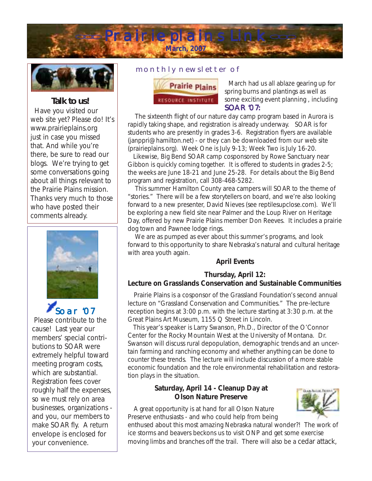



# *Talk to us!*

 Have you visited our web site yet? Please do! It's www.prairieplains.org just in case you missed that. And while you're there, be sure to read our blogs. We're trying to get some conversations going about all things relevant to the Prairie Plains mission. Thanks very much to those who have posted their comments already.



Oar 'O<sub>7</sub> Please contribute to the cause! Last year our members' special contributions to SOAR were extremely helpful toward meeting program costs, which are substantial. Registration fees cover roughly half the expenses, so we must rely on area businesses, organizations and you, our members to make SOAR fly. A return envelope is enclosed for your convenience.

### monthly newsletter of



 March had us all ablaze gearing up for spring burns and plantings as well as some exciting event planning , including SOAR '07**:**

 The sixteenth flight of our nature day camp program based in Aurora is rapidly taking shape, and registration is already underway. SOAR is for students who are presently in grades 3-6. Registration flyers are available (janppri@hamilton.net) - or they can be downloaded from our web site (prairieplains.org). Week One is July 9-13; Week Two is July 16-20.

 Likewise, Big Bend SOAR camp cosponsored by Rowe Sanctuary near Gibbon is quickly coming together. It is offered to students in grades 2-5; the weeks are June 18-21 and June 25-28. For details about the Big Bend program and registration, call 308-468-5282.

 This summer Hamilton County area campers will SOAR to the theme of "stories." There will be a few storytellers on board, and we're also looking forward to a new presenter, David Nieves (see reptilesupclose.com). We'll be exploring a new field site near Palmer and the Loup River on Heritage Day, offered by new Prairie Plains member Don Reeves. It includes a prairie dog town and Pawnee lodge rings.

 We are as pumped as ever about this summer's programs, and look forward to this opportunity to share Nebraska's natural and cultural heritage with area youth again.

### **April Events**

### **Thursday, April 12:**

### **Lecture on Grasslands Conservation and Sustainable Communities**

 Prairie Plains is a cosponsor of the Grassland Foundation's second annual lecture on "Grassland Conservation and Communities." The pre-lecture reception begins at 3:00 p.m. with the lecture starting at 3:30 p.m. at the Great Plains Art Museum, 1155 Q Street in Lincoln.

 This year's speaker is Larry Swanson, Ph.D., Director of the O'Connor Center for the Rocky Mountain West at the University of Montana. Dr. Swanson will discuss rural depopulation, demographic trends and an uncertain farming and ranching economy and whether anything can be done to counter these trends. The lecture will include discussion of a more stable economic foundation and the role environmental rehabilitation and restoration plays in the situation.

# **Saturday, April 14 - Cleanup Day at Olson Nature Preserve**

 A great opportunity is at hand for all Olson Nature Preserve enthusiasts - and who could help from being

enthused about this most amazing Nebraska natural wonder?! The work of ice storms and beavers beckons us to visit ONP and get some exercise moving limbs and branches off the trail. There will also be a cedar attack,